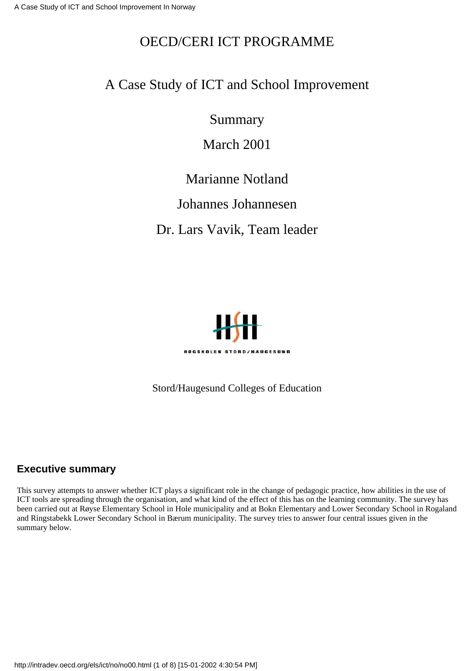### OECD/CERI ICT PROGRAMME

#### A Case Study of ICT and School Improvement

Summary

March 2001

#### Marianne Notland

#### Johannes Johannesen

Dr. Lars Vavik, Team leader



Stord/Haugesund Colleges of Education

#### **Executive summary**

This survey attempts to answer whether ICT plays a significant role in the change of pedagogic practice, how abilities in the use of ICT tools are spreading through the organisation, and what kind of the effect of this has on the learning community. The survey has been carried out at Røyse Elementary School in Hole municipality and at Bokn Elementary and Lower Secondary School in Rogaland and Ringstabekk Lower Secondary School in Bærum municipality. The survey tries to answer four central issues given in the summary below.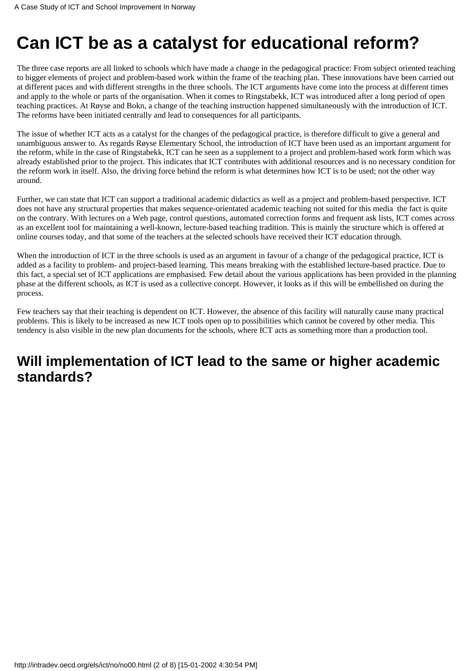# **Can ICT be as a catalyst for educational reform?**

The three case reports are all linked to schools which have made a change in the pedagogical practice: From subject oriented teaching to bigger elements of project and problem-based work within the frame of the teaching plan. These innovations have been carried out at different paces and with different strengths in the three schools. The ICT arguments have come into the process at different times and apply to the whole or parts of the organisation. When it comes to Ringstabekk, ICT was introduced after a long period of open teaching practices. At Røyse and Bokn, a change of the teaching instruction happened simultaneously with the introduction of ICT. The reforms have been initiated centrally and lead to consequences for all participants.

The issue of whether ICT acts as a catalyst for the changes of the pedagogical practice, is therefore difficult to give a general and unambiguous answer to. As regards Røyse Elementary School, the introduction of ICT have been used as an important argument for the reform, while in the case of Ringstabekk, ICT can be seen as a supplement to a project and problem-based work form which was already established prior to the project. This indicates that ICT contributes with additional resources and is no necessary condition for the reform work in itself. Also, the driving force behind the reform is what determines how ICT is to be used; not the other way around.

Further, we can state that ICT can support a traditional academic didactics as well as a project and problem-based perspective. ICT does not have any structural properties that makes sequence-orientated academic teaching not suited for this media the fact is quite on the contrary. With lectures on a Web page, control questions, automated correction forms and frequent ask lists, ICT comes across as an excellent tool for maintaining a well-known, lecture-based teaching tradition. This is mainly the structure which is offered at online courses today, and that some of the teachers at the selected schools have received their ICT education through.

When the introduction of ICT in the three schools is used as an argument in favour of a change of the pedagogical practice, ICT is added as a facility to problem- and project-based learning. This means breaking with the established lecture-based practice. Due to this fact, a special set of ICT applications are emphasised. Few detail about the various applications has been provided in the planning phase at the different schools, as ICT is used as a collective concept. However, it looks as if this will be embellished on during the process.

Few teachers say that their teaching is dependent on ICT. However, the absence of this facility will naturally cause many practical problems. This is likely to be increased as new ICT tools open up to possibilities which cannot be covered by other media. This tendency is also visible in the new plan documents for the schools, where ICT acts as something more than a production tool.

# **Will implementation of ICT lead to the same or higher academic standards?**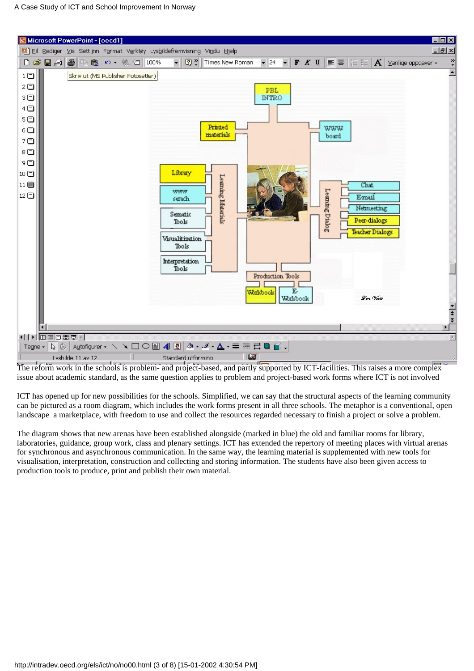

The reform work in the schools is problem- and project-based, and partly supported by ICT-facilities. This raises a more complex issue about academic standard, as the same question applies to problem and project-based work forms where ICT is not involved

ICT has opened up for new possibilities for the schools. Simplified, we can say that the structural aspects of the learning community can be pictured as a room diagram, which includes the work forms present in all three schools. The metaphor is a conventional, open landscape a marketplace, with freedom to use and collect the resources regarded necessary to finish a project or solve a problem.

The diagram shows that new arenas have been established alongside (marked in blue) the old and familiar rooms for library, laboratories, guidance, group work, class and plenary settings. ICT has extended the repertory of meeting places with virtual arenas for synchronous and asynchronous communication. In the same way, the learning material is supplemented with new tools for visualisation, interpretation, construction and collecting and storing information. The students have also been given access to production tools to produce, print and publish their own material.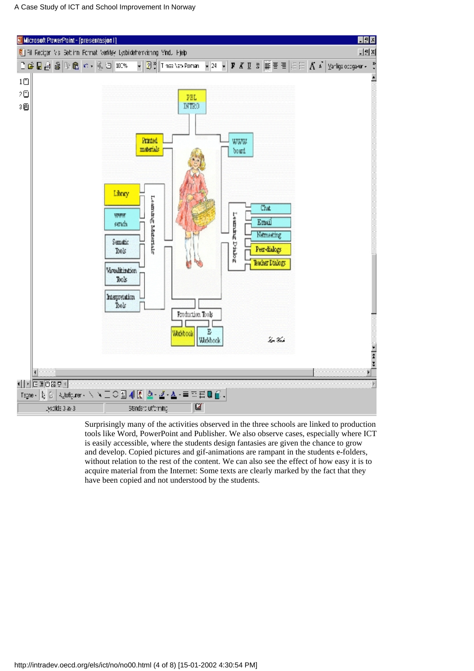

Surprisingly many of the activities observed in the three schools are linked to production tools like Word, PowerPoint and Publisher. We also observe cases, especially where ICT is easily accessible, where the students design fantasies are given the chance to grow and develop. Copied pictures and gif-animations are rampant in the students e-folders, without relation to the rest of the content. We can also see the effect of how easy it is to acquire material from the Internet: Some texts are clearly marked by the fact that they have been copied and not understood by the students.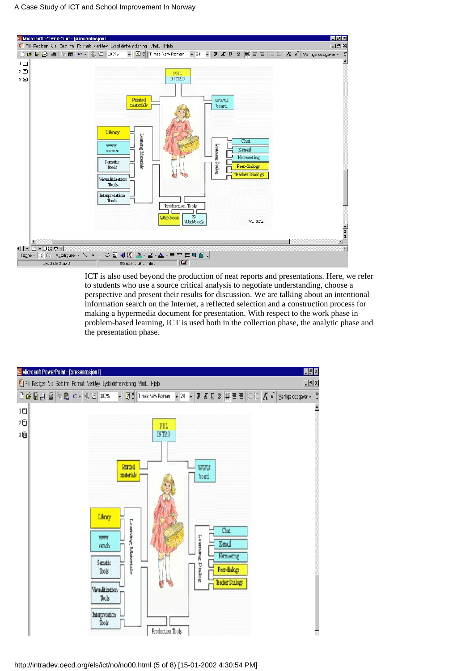

ICT is also used beyond the production of neat reports and presentations. Here, we refer to students who use a source critical analysis to negotiate understanding, choose a perspective and present their results for discussion. We are talking about an intentional information search on the Internet, a reflected selection and a construction process for making a hypermedia document for presentation. With respect to the work phase in problem-based learning, ICT is used both in the collection phase, the analytic phase and the presentation phase.



http://intradev.oecd.org/els/ict/no/no00.html (5 of 8) [15-01-2002 4:30:54 PM]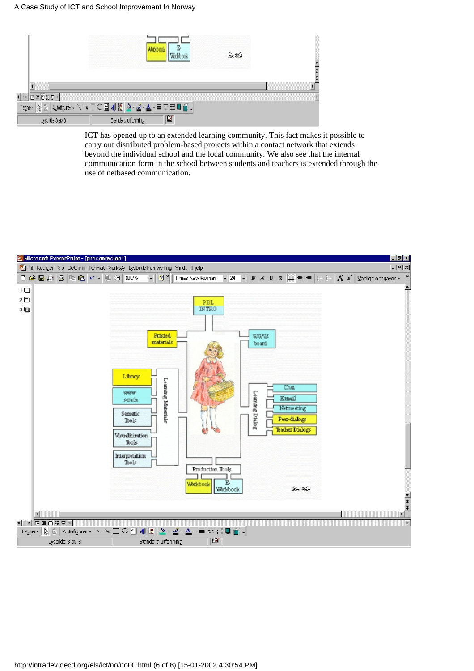#### A Case Study of ICT and School Improvement In Norway

|                 |                                                        |   | lega Verk |  |
|-----------------|--------------------------------------------------------|---|-----------|--|
|                 |                                                        |   |           |  |
| 医固向器束           |                                                        |   |           |  |
| ţ,<br>Tagne -   | <b>Adofter - ヽヽ ニ○雪 4 阪 &amp;- ヹ - ▲ - ≡ ヰ 〓 圓 @ -</b> |   |           |  |
| Lyscilde 3 av 3 | Standard utforming                                     | ఆ |           |  |

ICT has opened up to an extended learning community. This fact makes it possible to carry out distributed problem-based projects within a contact network that extends beyond the individual school and the local community. We also see that the internal communication form in the school between students and teachers is extended through the use of netbased communication.

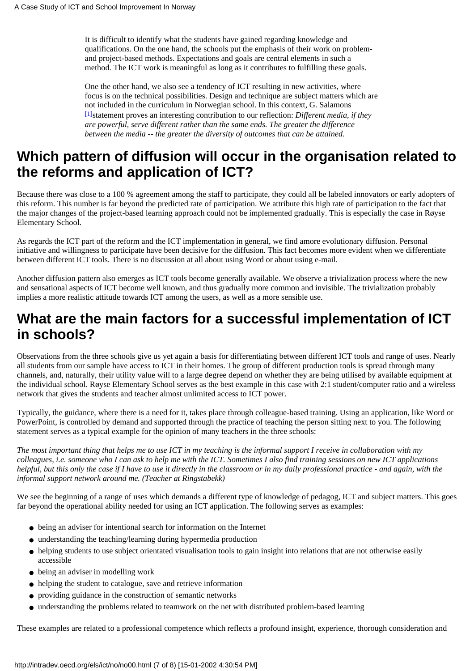It is difficult to identify what the students have gained regarding knowledge and qualifications. On the one hand, the schools put the emphasis of their work on problemand project-based methods. Expectations and goals are central elements in such a method. The ICT work is meaningful as long as it contributes to fulfilling these goals.

One the other hand, we also see a tendency of ICT resulting in new activities, where focus is on the technical possibilities. Design and technique are subject matters which are not included in the curriculum in Norwegian school. In this context, G. Salamons [\[1\]](#page-7-0)statement proves an interesting contribution to our reflection: *Different media, if they are powerful, serve different rather than the same ends. The greater the difference between the media -- the greater the diversity of outcomes that can be attained.*

### <span id="page-6-0"></span>**Which pattern of diffusion will occur in the organisation related to the reforms and application of ICT?**

Because there was close to a 100 % agreement among the staff to participate, they could all be labeled innovators or early adopters of this reform. This number is far beyond the predicted rate of participation. We attribute this high rate of participation to the fact that the major changes of the project-based learning approach could not be implemented gradually. This is especially the case in Røyse Elementary School.

As regards the ICT part of the reform and the ICT implementation in general, we find amore evolutionary diffusion. Personal initiative and willingness to participate have been decisive for the diffusion. This fact becomes more evident when we differentiate between different ICT tools. There is no discussion at all about using Word or about using e-mail.

Another diffusion pattern also emerges as ICT tools become generally available. We observe a trivialization process where the new and sensational aspects of ICT become well known, and thus gradually more common and invisible. The trivialization probably implies a more realistic attitude towards ICT among the users, as well as a more sensible use.

# **What are the main factors for a successful implementation of ICT in schools?**

Observations from the three schools give us yet again a basis for differentiating between different ICT tools and range of uses. Nearly all students from our sample have access to ICT in their homes. The group of different production tools is spread through many channels, and, naturally, their utility value will to a large degree depend on whether they are being utilised by available equipment at the individual school. Røyse Elementary School serves as the best example in this case with 2:1 student/computer ratio and a wireless network that gives the students and teacher almost unlimited access to ICT power.

Typically, the guidance, where there is a need for it, takes place through colleague-based training. Using an application, like Word or PowerPoint, is controlled by demand and supported through the practice of teaching the person sitting next to you. The following statement serves as a typical example for the opinion of many teachers in the three schools:

*The most important thing that helps me to use ICT in my teaching is the informal support I receive in collaboration with my colleagues, i.e. someone who I can ask to help me with the ICT. Sometimes I also find training sessions on new ICT applications helpful, but this only the case if I have to use it directly in the classroom or in my daily professional practice - and again, with the informal support network around me. (Teacher at Ringstabekk)*

We see the beginning of a range of uses which demands a different type of knowledge of pedagog, ICT and subject matters. This goes far beyond the operational ability needed for using an ICT application. The following serves as examples:

- being an adviser for intentional search for information on the Internet
- understanding the teaching/learning during hypermedia production
- helping students to use subject orientated visualisation tools to gain insight into relations that are not otherwise easily accessible
- being an adviser in modelling work
- helping the student to catalogue, save and retrieve information
- providing guidance in the construction of semantic networks
- understanding the problems related to teamwork on the net with distributed problem-based learning

These examples are related to a professional competence which reflects a profound insight, experience, thorough consideration and